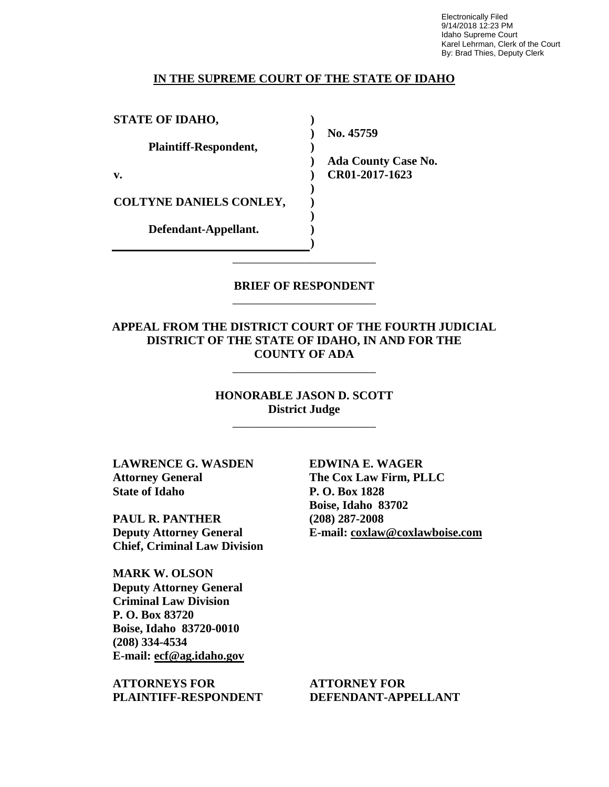Electronically Filed 9/14/2018 12:23 PM Idaho Supreme Court Karel Lehrman, Clerk of the Court By: Brad Thies, Deputy Clerk

#### **IN THE SUPREME COURT OF THE STATE OF IDAHO**

**) ) ) ) ) ) ) ) ) )**

**STATE OF IDAHO,**

**Plaintiff-Respondent,**

**v.** 

**COLTYNE DANIELS CONLEY,** 

**Defendant-Appellant.**

**No. 45759** 

**Ada County Case No. CR01-2017-1623** 

**BRIEF OF RESPONDENT** \_\_\_\_\_\_\_\_\_\_\_\_\_\_\_\_\_\_\_\_\_\_\_\_

\_\_\_\_\_\_\_\_\_\_\_\_\_\_\_\_\_\_\_\_\_\_\_\_

## **APPEAL FROM THE DISTRICT COURT OF THE FOURTH JUDICIAL DISTRICT OF THE STATE OF IDAHO, IN AND FOR THE COUNTY OF ADA**

\_\_\_\_\_\_\_\_\_\_\_\_\_\_\_\_\_\_\_\_\_\_\_\_

**HONORABLE JASON D. SCOTT District Judge**

\_\_\_\_\_\_\_\_\_\_\_\_\_\_\_\_\_\_\_\_\_\_\_\_

**LAWRENCE G. WASDEN Attorney General State of Idaho**

**PAUL R. PANTHER Deputy Attorney General Chief, Criminal Law Division**

**MARK W. OLSON Deputy Attorney General Criminal Law Division P. O. Box 83720 Boise, Idaho 83720-0010 (208) 334-4534 E-mail: ecf@ag.idaho.gov** 

**ATTORNEYS FOR PLAINTIFF-RESPONDENT** **EDWINA E. WAGER The Cox Law Firm, PLLC P. O. Box 1828 Boise, Idaho 83702 (208) 287-2008 E-mail: coxlaw@coxlawboise.com** 

**ATTORNEY FOR DEFENDANT-APPELLANT**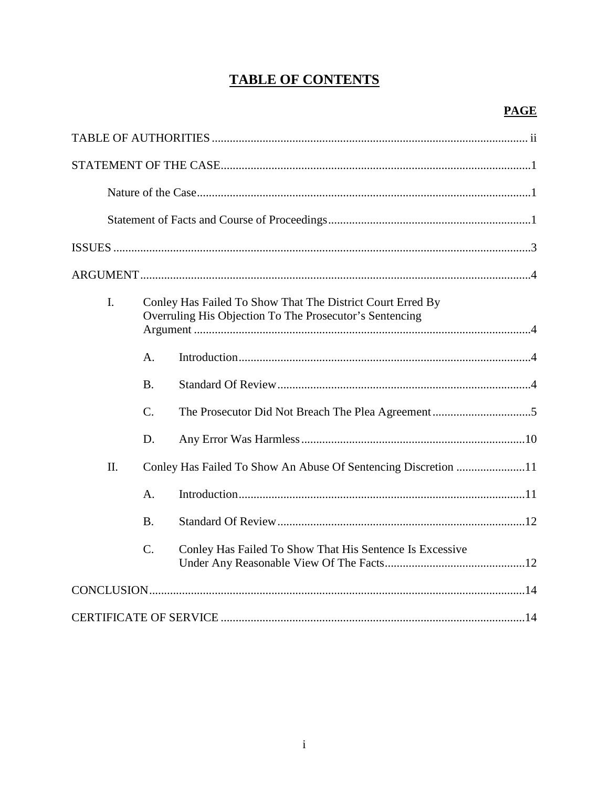# **TABLE OF CONTENTS**

| I.<br>Conley Has Failed To Show That The District Court Erred By<br>Overruling His Objection To The Prosecutor's Sentencing |                 |                                                                |
|-----------------------------------------------------------------------------------------------------------------------------|-----------------|----------------------------------------------------------------|
|                                                                                                                             | $\mathbf{A}$ .  |                                                                |
|                                                                                                                             | <b>B.</b>       |                                                                |
|                                                                                                                             | $\mathcal{C}$ . |                                                                |
|                                                                                                                             | D.              |                                                                |
| II.                                                                                                                         |                 | Conley Has Failed To Show An Abuse Of Sentencing Discretion 11 |
|                                                                                                                             | $\mathbf{A}$ .  |                                                                |
|                                                                                                                             | <b>B.</b>       |                                                                |
|                                                                                                                             | $C_{\cdot}$     | Conley Has Failed To Show That His Sentence Is Excessive       |
|                                                                                                                             |                 |                                                                |
|                                                                                                                             |                 |                                                                |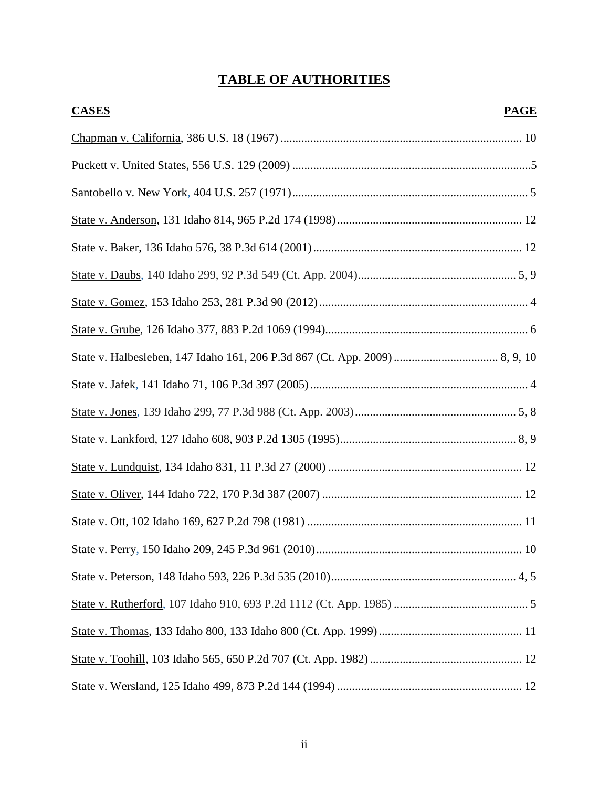# **TABLE OF AUTHORITIES**

| <b>CASES</b> | <b>PAGE</b> |
|--------------|-------------|
|              |             |
|              |             |
|              |             |
|              |             |
|              |             |
|              |             |
|              |             |
|              |             |
|              |             |
|              |             |
|              |             |
|              |             |
|              |             |
|              |             |
|              |             |
|              |             |
|              |             |
|              |             |
|              |             |
|              |             |
|              |             |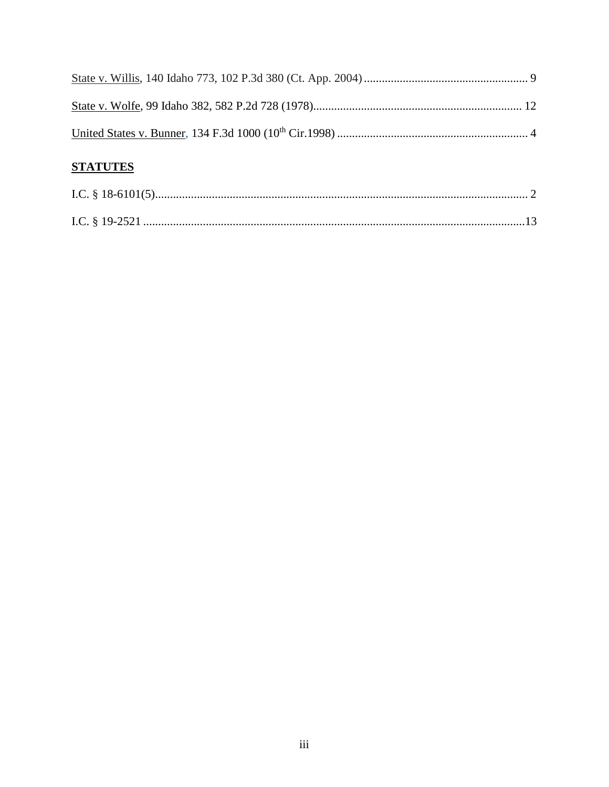| <b>STATUTES</b> |  |
|-----------------|--|
|                 |  |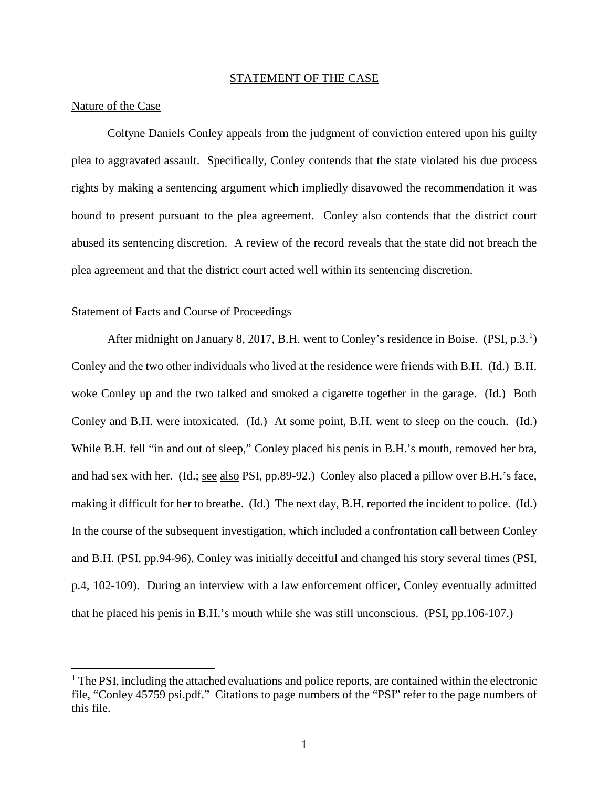#### STATEMENT OF THE CASE

#### Nature of the Case

 $\overline{a}$ 

Coltyne Daniels Conley appeals from the judgment of conviction entered upon his guilty plea to aggravated assault. Specifically, Conley contends that the state violated his due process rights by making a sentencing argument which impliedly disavowed the recommendation it was bound to present pursuant to the plea agreement. Conley also contends that the district court abused its sentencing discretion. A review of the record reveals that the state did not breach the plea agreement and that the district court acted well within its sentencing discretion.

### Statement of Facts and Course of Proceedings

After midnight on January 8, 2017, B.H. went to Conley's residence in Boise. (PSI, p.3.<sup>1</sup>) Conley and the two other individuals who lived at the residence were friends with B.H. (Id.) B.H. woke Conley up and the two talked and smoked a cigarette together in the garage. (Id.) Both Conley and B.H. were intoxicated. (Id.) At some point, B.H. went to sleep on the couch. (Id.) While B.H. fell "in and out of sleep," Conley placed his penis in B.H.'s mouth, removed her bra, and had sex with her. (Id.; see also PSI, pp.89-92.) Conley also placed a pillow over B.H.'s face, making it difficult for her to breathe. (Id.) The next day, B.H. reported the incident to police. (Id.) In the course of the subsequent investigation, which included a confrontation call between Conley and B.H. (PSI, pp.94-96), Conley was initially deceitful and changed his story several times (PSI, p.4, 102-109). During an interview with a law enforcement officer, Conley eventually admitted that he placed his penis in B.H.'s mouth while she was still unconscious. (PSI, pp.106-107.)

 $<sup>1</sup>$  The PSI, including the attached evaluations and police reports, are contained within the electronic</sup> file, "Conley 45759 psi.pdf." Citations to page numbers of the "PSI" refer to the page numbers of this file.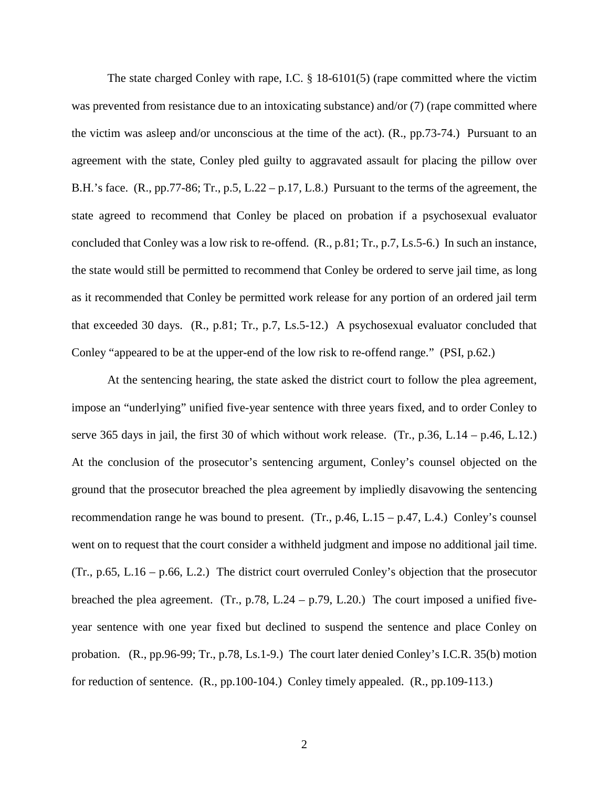The state charged Conley with rape, I.C. § 18-6101(5) (rape committed where the victim was prevented from resistance due to an intoxicating substance) and/or (7) (rape committed where the victim was asleep and/or unconscious at the time of the act). (R., pp.73-74.) Pursuant to an agreement with the state, Conley pled guilty to aggravated assault for placing the pillow over B.H.'s face. (R., pp.77-86; Tr., p.5, L.22 – p.17, L.8.) Pursuant to the terms of the agreement, the state agreed to recommend that Conley be placed on probation if a psychosexual evaluator concluded that Conley was a low risk to re-offend. (R., p.81; Tr., p.7, Ls.5-6.) In such an instance, the state would still be permitted to recommend that Conley be ordered to serve jail time, as long as it recommended that Conley be permitted work release for any portion of an ordered jail term that exceeded 30 days. (R., p.81; Tr., p.7, Ls.5-12.) A psychosexual evaluator concluded that Conley "appeared to be at the upper-end of the low risk to re-offend range." (PSI, p.62.)

At the sentencing hearing, the state asked the district court to follow the plea agreement, impose an "underlying" unified five-year sentence with three years fixed, and to order Conley to serve 365 days in jail, the first 30 of which without work release. (Tr., p.36, L.14 – p.46, L.12.) At the conclusion of the prosecutor's sentencing argument, Conley's counsel objected on the ground that the prosecutor breached the plea agreement by impliedly disavowing the sentencing recommendation range he was bound to present. (Tr., p.46, L.15 – p.47, L.4.) Conley's counsel went on to request that the court consider a withheld judgment and impose no additional jail time. (Tr., p.65, L.16 – p.66, L.2.) The district court overruled Conley's objection that the prosecutor breached the plea agreement. (Tr., p.78, L.24 – p.79, L.20.) The court imposed a unified fiveyear sentence with one year fixed but declined to suspend the sentence and place Conley on probation. (R., pp.96-99; Tr., p.78, Ls.1-9.) The court later denied Conley's I.C.R. 35(b) motion for reduction of sentence. (R., pp.100-104.) Conley timely appealed. (R., pp.109-113.)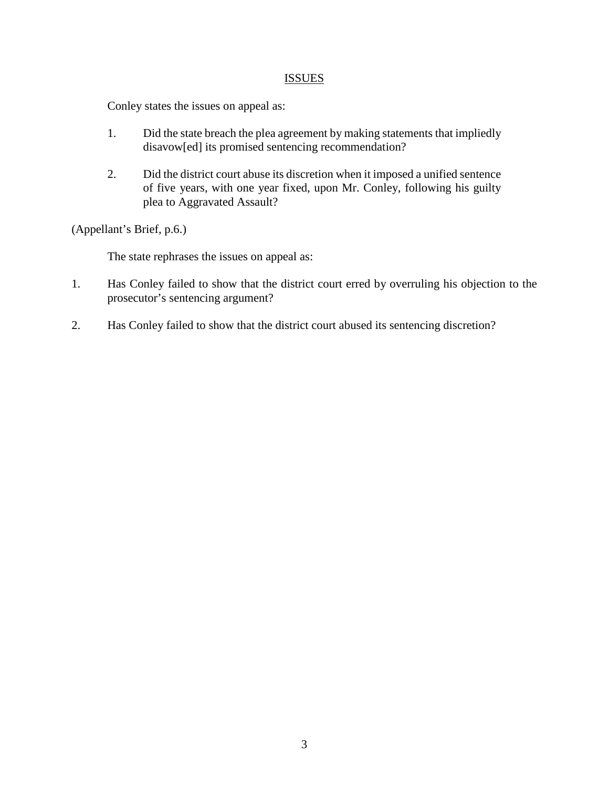## ISSUES

Conley states the issues on appeal as:

- 1. Did the state breach the plea agreement by making statements that impliedly disavow[ed] its promised sentencing recommendation?
- 2. Did the district court abuse its discretion when it imposed a unified sentence of five years, with one year fixed, upon Mr. Conley, following his guilty plea to Aggravated Assault?

(Appellant's Brief, p.6.)

The state rephrases the issues on appeal as:

- 1. Has Conley failed to show that the district court erred by overruling his objection to the prosecutor's sentencing argument?
- 2. Has Conley failed to show that the district court abused its sentencing discretion?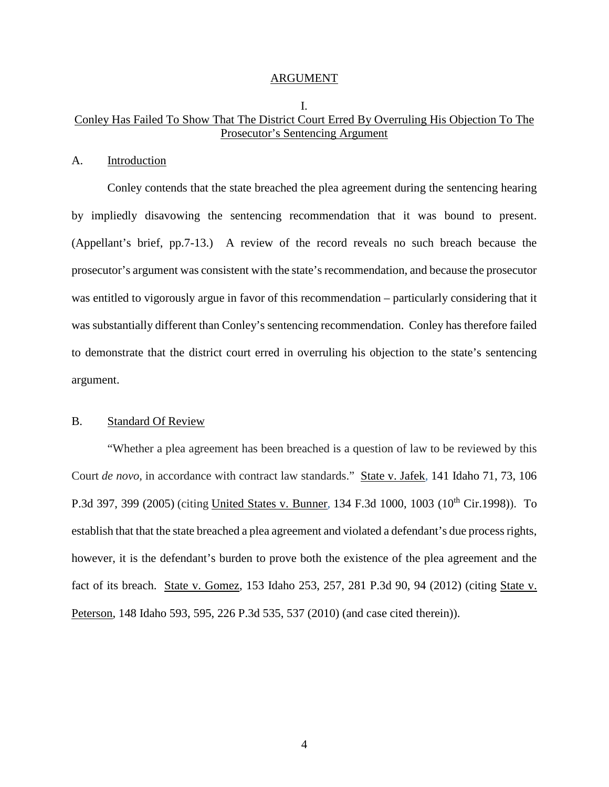#### ARGUMENT

## Conley Has Failed To Show That The District Court Erred By Overruling His Objection To The Prosecutor's Sentencing Argument

I.

#### A. Introduction

Conley contends that the state breached the plea agreement during the sentencing hearing by impliedly disavowing the sentencing recommendation that it was bound to present. (Appellant's brief, pp.7-13.) A review of the record reveals no such breach because the prosecutor's argument was consistent with the state's recommendation, and because the prosecutor was entitled to vigorously argue in favor of this recommendation – particularly considering that it was substantially different than Conley's sentencing recommendation. Conley has therefore failed to demonstrate that the district court erred in overruling his objection to the state's sentencing argument.

## B. Standard Of Review

"Whether a plea agreement has been breached is a question of law to be reviewed by this Court *de novo,* in accordance with contract law standards." State v. Jafek*,* 141 Idaho 71, 73, 106 P.3d 397, 399 (2005) (citing United States v. Bunner*,* 134 F.3d 1000, 1003 (10th Cir.1998)). To establish that that the state breached a plea agreement and violated a defendant's due process rights, however, it is the defendant's burden to prove both the existence of the plea agreement and the fact of its breach. State v. Gomez, 153 Idaho 253, 257, 281 P.3d 90, 94 (2012) (citing State v. Peterson, 148 Idaho 593, 595, 226 P.3d 535, 537 (2010) (and case cited therein)).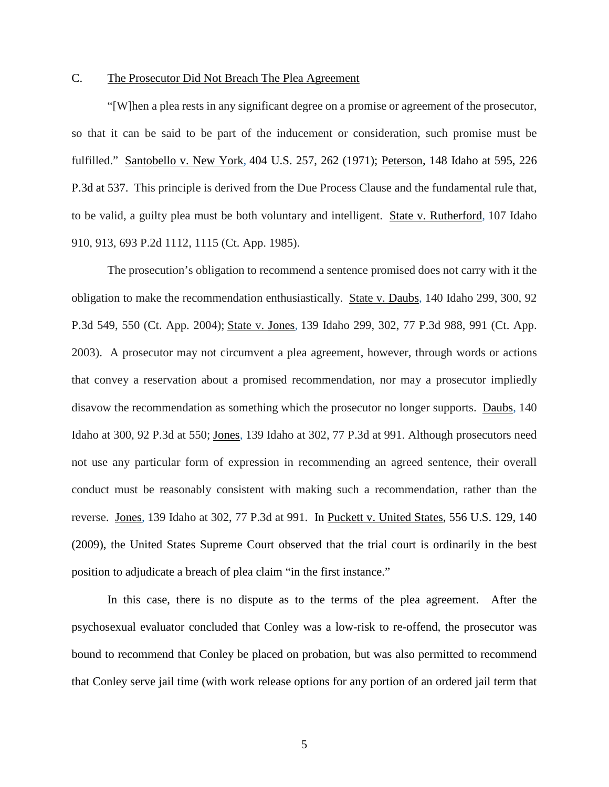## C. The Prosecutor Did Not Breach The Plea Agreement

"[W]hen a plea rests in any significant degree on a promise or agreement of the prosecutor, so that it can be said to be part of the inducement or consideration, such promise must be fulfilled." Santobello v. New York*,* 404 U.S. 257, 262 (1971); Peterson, 148 Idaho at 595, 226 P.3d at 537. This principle is derived from the Due Process Clause and the fundamental rule that, to be valid, a guilty plea must be both voluntary and intelligent. State v. Rutherford*,* 107 Idaho 910, 913, 693 P.2d 1112, 1115 (Ct. App. 1985).

The prosecution's obligation to recommend a sentence promised does not carry with it the obligation to make the recommendation enthusiastically. State v. Daubs, 140 Idaho 299, 300, 92 P.3d 549, 550 (Ct. App. 2004); State v. Jones*,* 139 Idaho 299, 302, 77 P.3d 988, 991 (Ct. App. 2003). A prosecutor may not circumvent a plea agreement, however, through words or actions that convey a reservation about a promised recommendation, nor may a prosecutor impliedly disavow the recommendation as something which the prosecutor no longer supports. Daubs, 140 Idaho at 300, 92 P.3d at 550; Jones*,* 139 Idaho at 302, 77 P.3d at 991. Although prosecutors need not use any particular form of expression in recommending an agreed sentence, their overall conduct must be reasonably consistent with making such a recommendation, rather than the reverse. Jones*,* 139 Idaho at 302, 77 P.3d at 991. In Puckett v. United States, 556 U.S. 129, 140 (2009), the United States Supreme Court observed that the trial court is ordinarily in the best position to adjudicate a breach of plea claim "in the first instance."

In this case, there is no dispute as to the terms of the plea agreement. After the psychosexual evaluator concluded that Conley was a low-risk to re-offend, the prosecutor was bound to recommend that Conley be placed on probation, but was also permitted to recommend that Conley serve jail time (with work release options for any portion of an ordered jail term that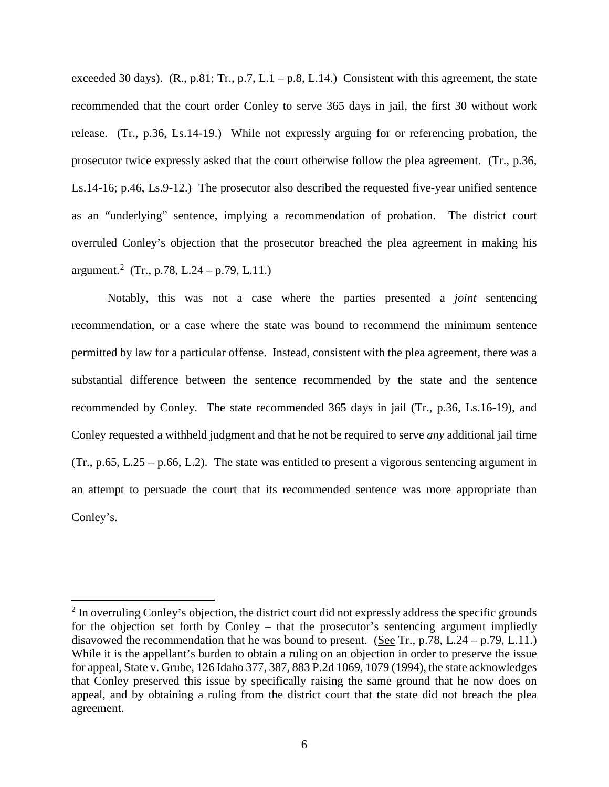exceeded 30 days). (R., p.81; Tr., p.7, L.1 – p.8, L.14.) Consistent with this agreement, the state recommended that the court order Conley to serve 365 days in jail, the first 30 without work release. (Tr., p.36, Ls.14-19.) While not expressly arguing for or referencing probation, the prosecutor twice expressly asked that the court otherwise follow the plea agreement. (Tr., p.36, Ls.14-16; p.46, Ls.9-12.) The prosecutor also described the requested five-year unified sentence as an "underlying" sentence, implying a recommendation of probation. The district court overruled Conley's objection that the prosecutor breached the plea agreement in making his argument.<sup>2</sup> (Tr., p.78, L.24 – p.79, L.11.)

Notably, this was not a case where the parties presented a *joint* sentencing recommendation, or a case where the state was bound to recommend the minimum sentence permitted by law for a particular offense. Instead, consistent with the plea agreement, there was a substantial difference between the sentence recommended by the state and the sentence recommended by Conley. The state recommended 365 days in jail (Tr., p.36, Ls.16-19), and Conley requested a withheld judgment and that he not be required to serve *any* additional jail time (Tr., p.65, L.25 – p.66, L.2). The state was entitled to present a vigorous sentencing argument in an attempt to persuade the court that its recommended sentence was more appropriate than Conley's.

 $\overline{a}$ 

 $2 \text{ In overruling Conley's objection, the district court did not expressly address the specific grounds}$ for the objection set forth by Conley – that the prosecutor's sentencing argument impliedly disavowed the recommendation that he was bound to present. (See Tr., p.78, L.24 – p.79, L.11.) While it is the appellant's burden to obtain a ruling on an objection in order to preserve the issue for appeal, State v. Grube, 126 Idaho 377, 387, 883 P.2d 1069, 1079 (1994), the state acknowledges that Conley preserved this issue by specifically raising the same ground that he now does on appeal, and by obtaining a ruling from the district court that the state did not breach the plea agreement.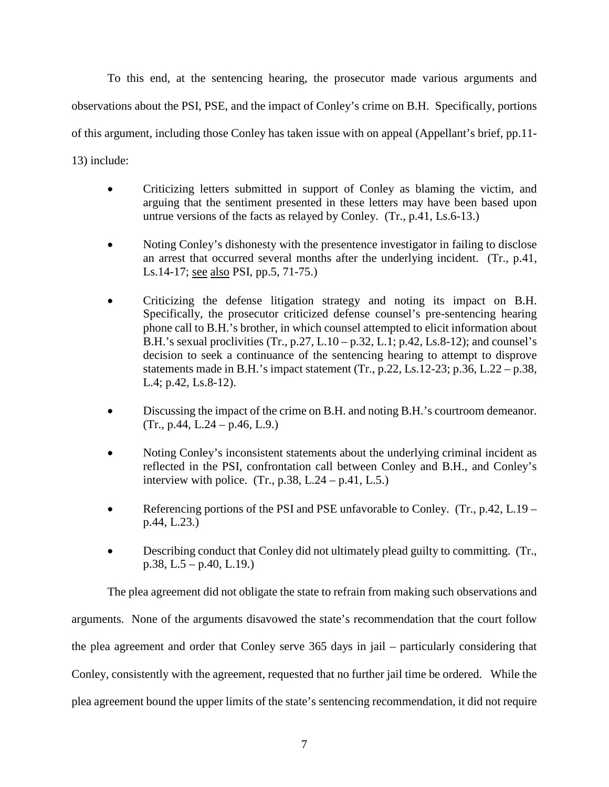To this end, at the sentencing hearing, the prosecutor made various arguments and observations about the PSI, PSE, and the impact of Conley's crime on B.H. Specifically, portions of this argument, including those Conley has taken issue with on appeal (Appellant's brief, pp.11- 13) include:

- Criticizing letters submitted in support of Conley as blaming the victim, and arguing that the sentiment presented in these letters may have been based upon untrue versions of the facts as relayed by Conley. (Tr., p.41, Ls.6-13.)
- Noting Conley's dishonesty with the presentence investigator in failing to disclose an arrest that occurred several months after the underlying incident. (Tr., p.41, Ls.14-17; see also PSI, pp.5, 71-75.)
- Criticizing the defense litigation strategy and noting its impact on B.H. Specifically, the prosecutor criticized defense counsel's pre-sentencing hearing phone call to B.H.'s brother, in which counsel attempted to elicit information about B.H.'s sexual proclivities (Tr., p.27, L.10 – p.32, L.1; p.42, Ls.8-12); and counsel's decision to seek a continuance of the sentencing hearing to attempt to disprove statements made in B.H.'s impact statement (Tr., p.22, Ls.12-23; p.36, L.22 – p.38, L.4; p.42, Ls.8-12).
- Discussing the impact of the crime on B.H. and noting B.H.'s courtroom demeanor.  $(Tr., p.44, L.24 - p.46, L.9.)$
- Noting Conley's inconsistent statements about the underlying criminal incident as reflected in the PSI, confrontation call between Conley and B.H., and Conley's interview with police.  $(Tr, p.38, L.24 - p.41, L.5.)$
- Referencing portions of the PSI and PSE unfavorable to Conley. (Tr., p.42, L.19 p.44, L.23.)
- Describing conduct that Conley did not ultimately plead guilty to committing. (Tr., p.38, L.5 – p.40, L.19.)

The plea agreement did not obligate the state to refrain from making such observations and arguments. None of the arguments disavowed the state's recommendation that the court follow the plea agreement and order that Conley serve 365 days in jail – particularly considering that Conley, consistently with the agreement, requested that no further jail time be ordered. While the plea agreement bound the upper limits of the state's sentencing recommendation, it did not require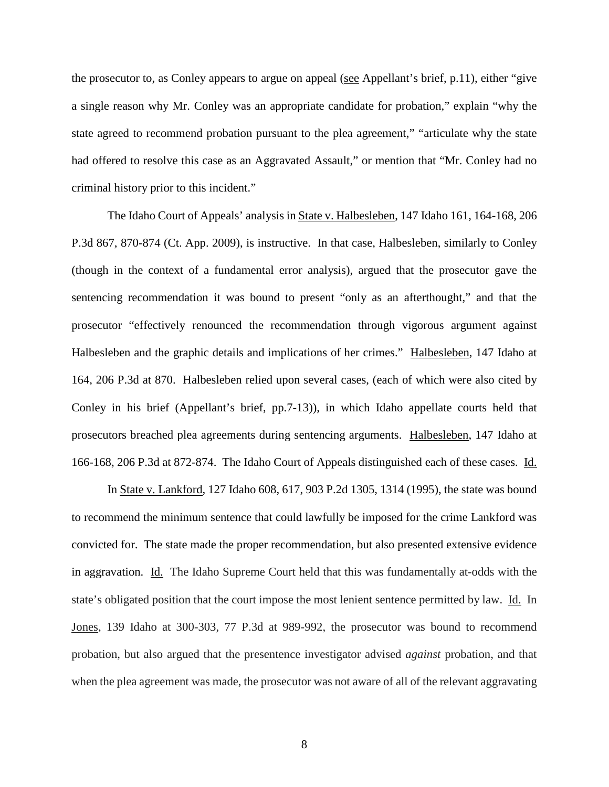the prosecutor to, as Conley appears to argue on appeal (see Appellant's brief, p.11), either "give a single reason why Mr. Conley was an appropriate candidate for probation," explain "why the state agreed to recommend probation pursuant to the plea agreement," "articulate why the state had offered to resolve this case as an Aggravated Assault," or mention that "Mr. Conley had no criminal history prior to this incident."

The Idaho Court of Appeals' analysis in State v. Halbesleben, 147 Idaho 161, 164-168, 206 P.3d 867, 870-874 (Ct. App. 2009), is instructive. In that case, Halbesleben, similarly to Conley (though in the context of a fundamental error analysis), argued that the prosecutor gave the sentencing recommendation it was bound to present "only as an afterthought," and that the prosecutor "effectively renounced the recommendation through vigorous argument against Halbesleben and the graphic details and implications of her crimes." Halbesleben, 147 Idaho at 164, 206 P.3d at 870. Halbesleben relied upon several cases, (each of which were also cited by Conley in his brief (Appellant's brief, pp.7-13)), in which Idaho appellate courts held that prosecutors breached plea agreements during sentencing arguments. Halbesleben, 147 Idaho at 166-168, 206 P.3d at 872-874. The Idaho Court of Appeals distinguished each of these cases. Id.

In State v. Lankford, 127 Idaho 608, 617, 903 P.2d 1305, 1314 (1995), the state was bound to recommend the minimum sentence that could lawfully be imposed for the crime Lankford was convicted for. The state made the proper recommendation, but also presented extensive evidence in aggravation. Id. The Idaho Supreme Court held that this was fundamentally at-odds with the state's obligated position that the court impose the most lenient sentence permitted by law. Id. In Jones, 139 Idaho at 300-303, 77 P.3d at 989-992, the prosecutor was bound to recommend probation, but also argued that the presentence investigator advised *against* probation, and that when the plea agreement was made, the prosecutor was not aware of all of the relevant aggravating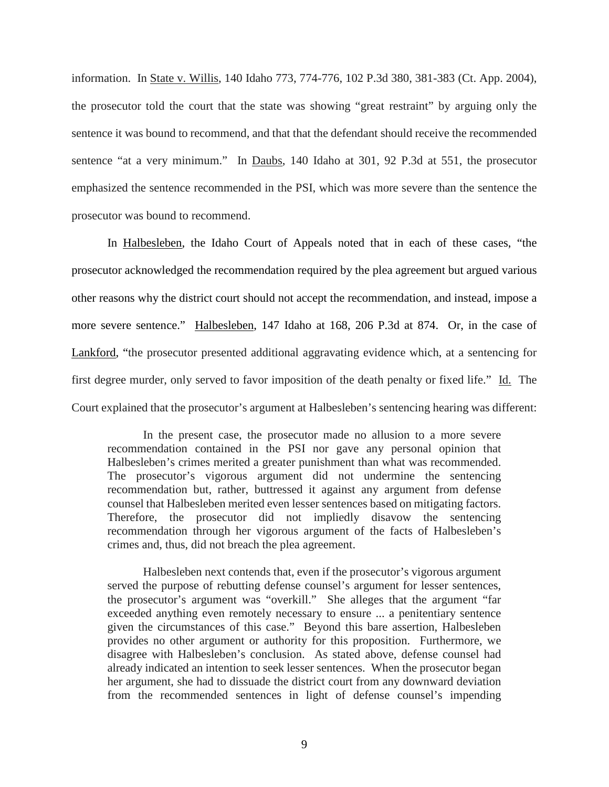information. In State v. Willis, 140 Idaho 773, 774-776, 102 P.3d 380, 381-383 (Ct. App. 2004), the prosecutor told the court that the state was showing "great restraint" by arguing only the sentence it was bound to recommend, and that that the defendant should receive the recommended sentence "at a very minimum." In <u>Daubs</u>, 140 Idaho at 301, 92 P.3d at 551, the prosecutor emphasized the sentence recommended in the PSI, which was more severe than the sentence the prosecutor was bound to recommend.

In Halbesleben, the Idaho Court of Appeals noted that in each of these cases, "the prosecutor acknowledged the recommendation required by the plea agreement but argued various other reasons why the district court should not accept the recommendation, and instead, impose a more severe sentence." Halbesleben, 147 Idaho at 168, 206 P.3d at 874. Or, in the case of Lankford, "the prosecutor presented additional aggravating evidence which, at a sentencing for first degree murder, only served to favor imposition of the death penalty or fixed life." Id. The Court explained that the prosecutor's argument at Halbesleben's sentencing hearing was different:

In the present case, the prosecutor made no allusion to a more severe recommendation contained in the PSI nor gave any personal opinion that Halbesleben's crimes merited a greater punishment than what was recommended. The prosecutor's vigorous argument did not undermine the sentencing recommendation but, rather, buttressed it against any argument from defense counsel that Halbesleben merited even lesser sentences based on mitigating factors. Therefore, the prosecutor did not impliedly disavow the sentencing recommendation through her vigorous argument of the facts of Halbesleben's crimes and, thus, did not breach the plea agreement.

Halbesleben next contends that, even if the prosecutor's vigorous argument served the purpose of rebutting defense counsel's argument for lesser sentences, the prosecutor's argument was "overkill." She alleges that the argument "far exceeded anything even remotely necessary to ensure ... a penitentiary sentence given the circumstances of this case." Beyond this bare assertion, Halbesleben provides no other argument or authority for this proposition. Furthermore, we disagree with Halbesleben's conclusion. As stated above, defense counsel had already indicated an intention to seek lesser sentences. When the prosecutor began her argument, she had to dissuade the district court from any downward deviation from the recommended sentences in light of defense counsel's impending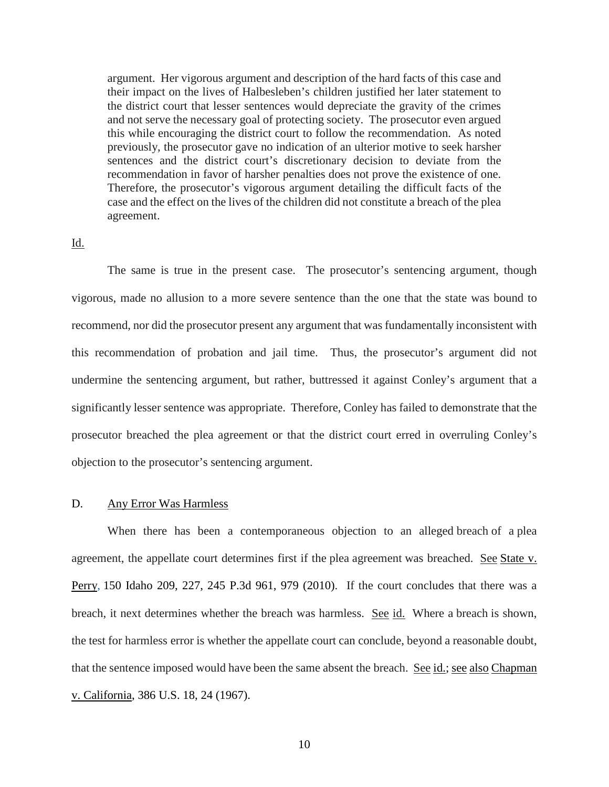argument. Her vigorous argument and description of the hard facts of this case and their impact on the lives of Halbesleben's children justified her later statement to the district court that lesser sentences would depreciate the gravity of the crimes and not serve the necessary goal of protecting society. The prosecutor even argued this while encouraging the district court to follow the recommendation. As noted previously, the prosecutor gave no indication of an ulterior motive to seek harsher sentences and the district court's discretionary decision to deviate from the recommendation in favor of harsher penalties does not prove the existence of one. Therefore, the prosecutor's vigorous argument detailing the difficult facts of the case and the effect on the lives of the children did not constitute a breach of the plea agreement.

#### Id.

The same is true in the present case. The prosecutor's sentencing argument, though vigorous, made no allusion to a more severe sentence than the one that the state was bound to recommend, nor did the prosecutor present any argument that was fundamentally inconsistent with this recommendation of probation and jail time. Thus, the prosecutor's argument did not undermine the sentencing argument, but rather, buttressed it against Conley's argument that a significantly lesser sentence was appropriate. Therefore, Conley has failed to demonstrate that the prosecutor breached the plea agreement or that the district court erred in overruling Conley's objection to the prosecutor's sentencing argument.

#### D. Any Error Was Harmless

When there has been a contemporaneous objection to an alleged breach of a plea agreement, the appellate court determines first if the plea agreement was breached. See State v. Perry, 150 Idaho 209, 227, 245 P.3d 961, 979 (2010). If the court concludes that there was a breach, it next determines whether the breach was harmless. See id. Where a breach is shown, the test for harmless error is whether the appellate court can conclude, beyond a reasonable doubt, that the sentence imposed would have been the same absent the breach. See id.; see also Chapman v. California, 386 U.S. 18, 24 (1967).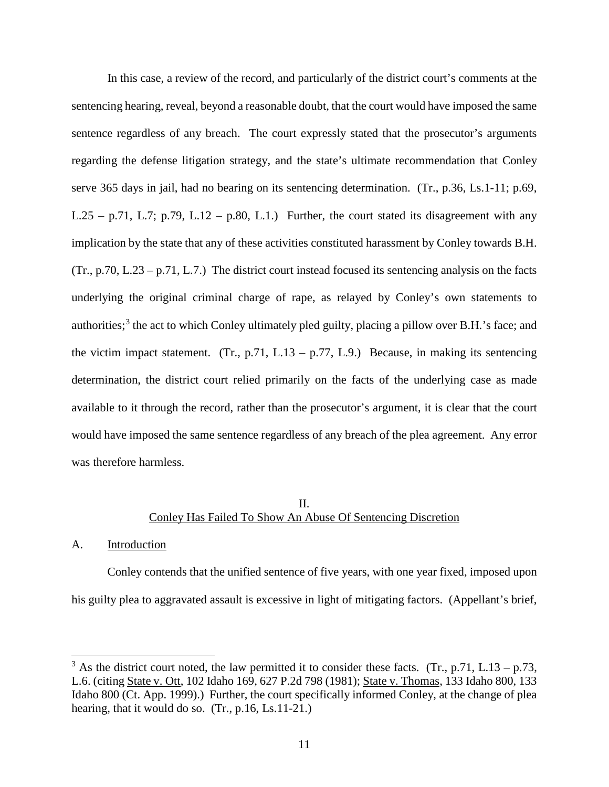In this case, a review of the record, and particularly of the district court's comments at the sentencing hearing, reveal, beyond a reasonable doubt, that the court would have imposed the same sentence regardless of any breach. The court expressly stated that the prosecutor's arguments regarding the defense litigation strategy, and the state's ultimate recommendation that Conley serve 365 days in jail, had no bearing on its sentencing determination. (Tr., p.36, Ls.1-11; p.69, L.25 – p.71, L.7; p.79, L.12 – p.80, L.1.) Further, the court stated its disagreement with any implication by the state that any of these activities constituted harassment by Conley towards B.H. (Tr., p.70, L.23 – p.71, L.7.) The district court instead focused its sentencing analysis on the facts underlying the original criminal charge of rape, as relayed by Conley's own statements to authorities;<sup>3</sup> the act to which Conley ultimately pled guilty, placing a pillow over B.H.'s face; and the victim impact statement. (Tr., p.71, L.13 – p.77, L.9.) Because, in making its sentencing determination, the district court relied primarily on the facts of the underlying case as made available to it through the record, rather than the prosecutor's argument, it is clear that the court would have imposed the same sentence regardless of any breach of the plea agreement. Any error was therefore harmless.

## II. Conley Has Failed To Show An Abuse Of Sentencing Discretion

#### A. Introduction

 $\overline{a}$ 

 Conley contends that the unified sentence of five years, with one year fixed, imposed upon his guilty plea to aggravated assault is excessive in light of mitigating factors. (Appellant's brief,

 $3$  As the district court noted, the law permitted it to consider these facts. (Tr., p.71, L.13 – p.73, L.6. (citing State v. Ott, 102 Idaho 169, 627 P.2d 798 (1981); State v. Thomas, 133 Idaho 800, 133 Idaho 800 (Ct. App. 1999).) Further, the court specifically informed Conley, at the change of plea hearing, that it would do so. (Tr., p.16, Ls.11-21.)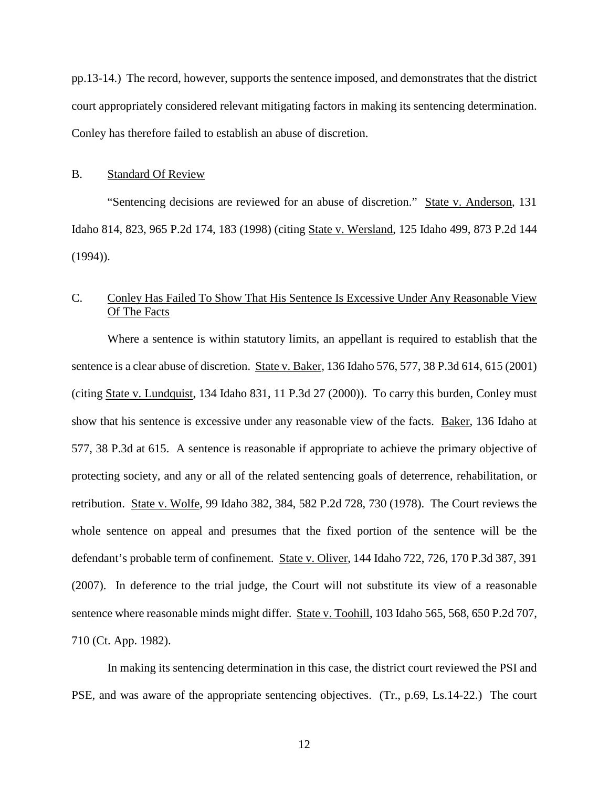pp.13-14.) The record, however, supports the sentence imposed, and demonstrates that the district court appropriately considered relevant mitigating factors in making its sentencing determination. Conley has therefore failed to establish an abuse of discretion.

#### B. Standard Of Review

"Sentencing decisions are reviewed for an abuse of discretion." State v. Anderson, 131 Idaho 814, 823, 965 P.2d 174, 183 (1998) (citing State v. Wersland, 125 Idaho 499, 873 P.2d 144 (1994)).

## C. Conley Has Failed To Show That His Sentence Is Excessive Under Any Reasonable View Of The Facts

Where a sentence is within statutory limits, an appellant is required to establish that the sentence is a clear abuse of discretion. State v. Baker, 136 Idaho 576, 577, 38 P.3d 614, 615 (2001) (citing State v. Lundquist, 134 Idaho 831, 11 P.3d 27 (2000)). To carry this burden, Conley must show that his sentence is excessive under any reasonable view of the facts. Baker, 136 Idaho at 577, 38 P.3d at 615. A sentence is reasonable if appropriate to achieve the primary objective of protecting society, and any or all of the related sentencing goals of deterrence, rehabilitation, or retribution. State v. Wolfe, 99 Idaho 382, 384, 582 P.2d 728, 730 (1978). The Court reviews the whole sentence on appeal and presumes that the fixed portion of the sentence will be the defendant's probable term of confinement. State v. Oliver, 144 Idaho 722, 726, 170 P.3d 387, 391 (2007). In deference to the trial judge, the Court will not substitute its view of a reasonable sentence where reasonable minds might differ. State v. Toohill, 103 Idaho 565, 568, 650 P.2d 707, 710 (Ct. App. 1982).

In making its sentencing determination in this case, the district court reviewed the PSI and PSE, and was aware of the appropriate sentencing objectives. (Tr., p.69, Ls.14-22.) The court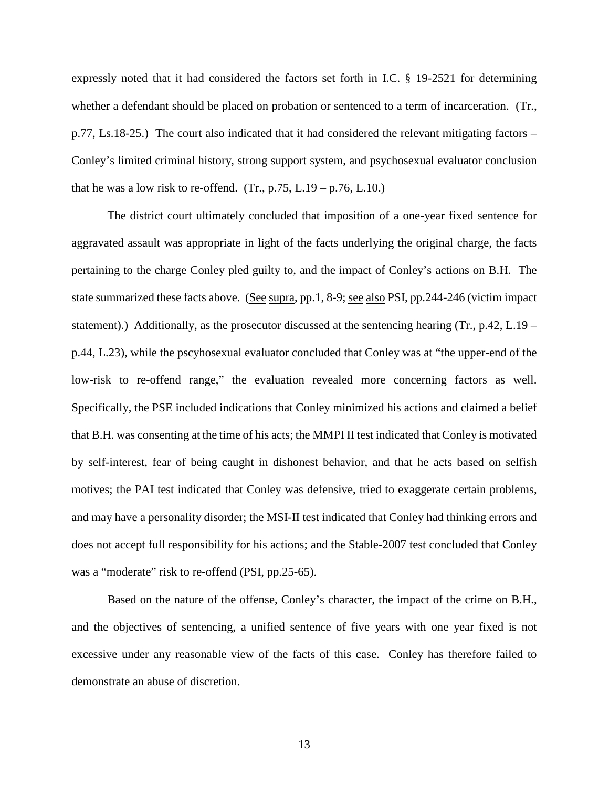expressly noted that it had considered the factors set forth in I.C. § 19-2521 for determining whether a defendant should be placed on probation or sentenced to a term of incarceration. (Tr., p.77, Ls.18-25.) The court also indicated that it had considered the relevant mitigating factors – Conley's limited criminal history, strong support system, and psychosexual evaluator conclusion that he was a low risk to re-offend.  $(Tr, p.75, L.19 - p.76, L.10.)$ 

The district court ultimately concluded that imposition of a one-year fixed sentence for aggravated assault was appropriate in light of the facts underlying the original charge, the facts pertaining to the charge Conley pled guilty to, and the impact of Conley's actions on B.H. The state summarized these facts above. (See supra, pp.1, 8-9; see also PSI, pp.244-246 (victim impact statement).) Additionally, as the prosecutor discussed at the sentencing hearing (Tr., p.42, L.19 – p.44, L.23), while the pscyhosexual evaluator concluded that Conley was at "the upper-end of the low-risk to re-offend range," the evaluation revealed more concerning factors as well. Specifically, the PSE included indications that Conley minimized his actions and claimed a belief that B.H. was consenting at the time of his acts; the MMPI II test indicated that Conley is motivated by self-interest, fear of being caught in dishonest behavior, and that he acts based on selfish motives; the PAI test indicated that Conley was defensive, tried to exaggerate certain problems, and may have a personality disorder; the MSI-II test indicated that Conley had thinking errors and does not accept full responsibility for his actions; and the Stable-2007 test concluded that Conley was a "moderate" risk to re-offend (PSI, pp.25-65).

Based on the nature of the offense, Conley's character, the impact of the crime on B.H., and the objectives of sentencing, a unified sentence of five years with one year fixed is not excessive under any reasonable view of the facts of this case. Conley has therefore failed to demonstrate an abuse of discretion.